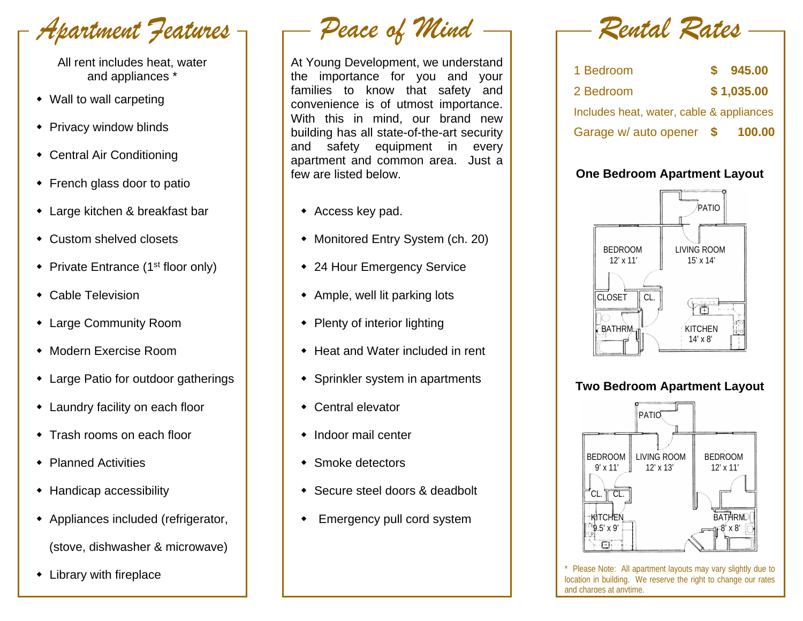Apartment Features

All rent includes heat, water and appliances \*

- Wall to wall carpeting
- Privacy window blinds
- Central Air Conditioning
- French glass door to patio
- Large kitchen & breakfast bar
- Custom shelved closets
- Private Entrance ( $1<sup>st</sup>$  floor only)
- Cable Television
- Large Community Room
- Modern Exercise Room
- Large Patio for outdoor gatherings
- Laundry facility on each floor
- Trash rooms on each floor
- ◆ Planned Activities
- Handicap accessibility
- Appliances included (refrigerator, (stove, dishwasher & microwave)
- Library with fireplace

Peace of Mind

At Young Development, we understand the importance for you and your families to know that safety and convenience is of utmost importance. With this in mind, our brand new building has all state-of-the-art security and safety equipment in every apartment and common area. Just a few are listed below.

- Access key pad.
- Monitored Entry System (ch. 20)
- 24 Hour Emergency Service
- Ample, well lit parking lots
- Plenty of interior lighting
- ◆ Heat and Water included in rent
- Sprinkler system in apartments
- Central elevator
- Indoor mail center
- Smoke detectors
- Secure steel doors & deadbolt
- Emergency pull cord system

Rental Rates

| 1 Bedroom                                | \$945.00   |
|------------------------------------------|------------|
| 2 Bedroom                                | \$1,035.00 |
| Includes heat, water, cable & appliances |            |
| Garage w/ auto opener \$                 | 100.00     |

## **One Bedroom Apartment Layout**



### **Two Bedroom Apartment Layout**



\* Please Note: All apartment layouts may vary slightly due to location in building. We reserve the right to change our rates and charges at anytime.